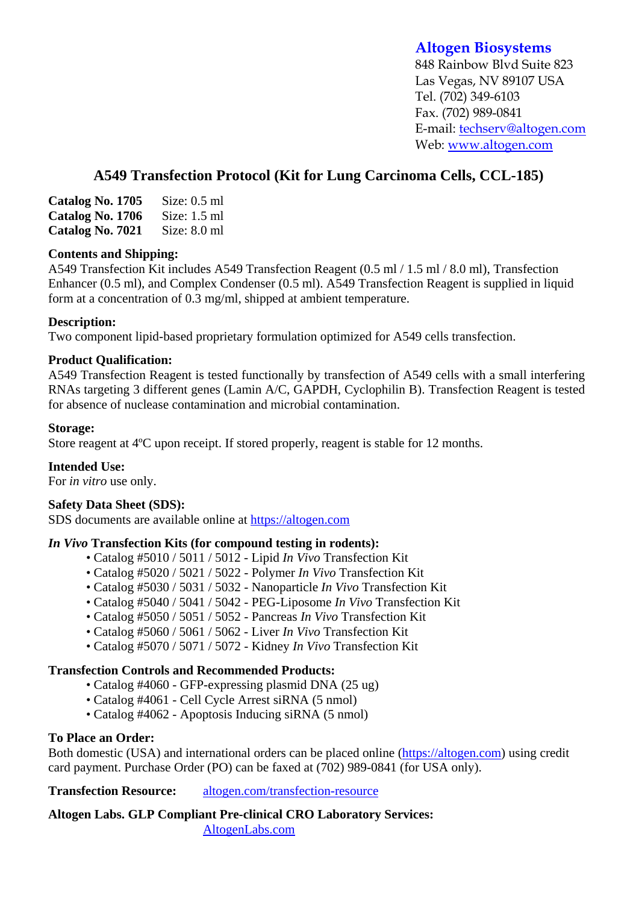# **Altogen Biosystems**

848 Rainbow Blvd Suite 823 Las Vegas, NV 89107 USA Tel. (702) 349-6103 Fax. (702) 989-0841 E-mail: techserv@altogen.com Web: www.altogen.com

# **A549 Transfection Protocol (Kit for Lung Carcinoma Cells, CCL-185)**

| Catalog No. 1705 | Size: $0.5$ ml |
|------------------|----------------|
| Catalog No. 1706 | Size: $1.5$ ml |
| Catalog No. 7021 | Size: $8.0$ ml |

#### **Contents and Shipping:**

A549 Transfection Kit includes A549 Transfection Reagent (0.5 ml / 1.5 ml / 8.0 ml), Transfection Enhancer (0.5 ml), and Complex Condenser (0.5 ml). A549 Transfection Reagent is supplied in liquid form at a concentration of 0.3 mg/ml, shipped at ambient temperature.

### **Description:**

Two component lipid-based proprietary formulation optimized for A549 cells transfection.

### **Product Qualification:**

A549 Transfection Reagent is tested functionally by transfection of A549 cells with a small interfering RNAs targeting 3 different genes (Lamin A/C, GAPDH, Cyclophilin B). Transfection Reagent is tested for absence of nuclease contamination and microbial contamination.

### **Storage:**

Store reagent at 4ºC upon receipt. If stored properly, reagent is stable for 12 months.

## **Intended Use:**

For *in vitro* use only.

## **Safety Data Sheet (SDS):**

SDS documents are available online at https://altogen.com

#### *In Vivo* **Transfection Kits (for compound testing in rodents):**

- Catalog #5010 / 5011 / 5012 Lipid *In Vivo* Transfection Kit
- Catalog #5020 / 5021 / 5022 Polymer *In Vivo* Transfection Kit
- Catalog #5030 / 5031 / 5032 Nanoparticle *In Vivo* Transfection Kit
- Catalog #5040 / 5041 / 5042 PEG-Liposome *In Vivo* Transfection Kit
- Catalog #5050 / 5051 / 5052 Pancreas *In Vivo* Transfection Kit
- Catalog #5060 / 5061 / 5062 Liver *In Vivo* Transfection Kit
- Catalog #5070 / 5071 / 5072 Kidney *In Vivo* Transfection Kit

#### **Transfection Controls and Recommended Products:**

- Catalog #4060 GFP-expressing plasmid DNA (25 ug)
- Catalog #4061 Cell Cycle Arrest siRNA (5 nmol)
- Catalog #4062 Apoptosis Inducing siRNA (5 nmol)

#### **To Place an Order:**

Both domestic (USA) and international orders can be placed online (https://altogen.com) using credit card payment. Purchase Order (PO) can be faxed at (702) 989-0841 (for USA only).

**Transfection Resource:** altogen.com/transfection-resource

**Altogen Labs. GLP Compliant Pre-clinical CRO Laboratory Services:**  AltogenLabs.com